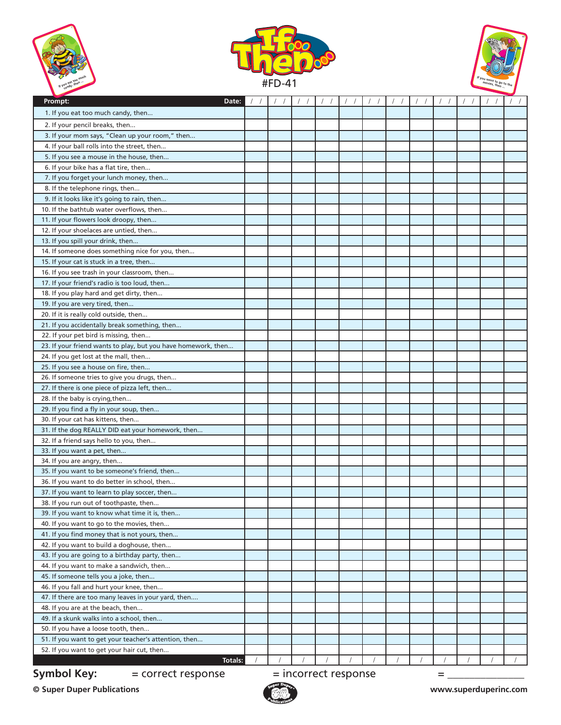| If you eat too much<br>If you eat then |  |
|----------------------------------------|--|
|                                        |  |





| r.                                                                                           |  |                        |  |  |   |  |  |
|----------------------------------------------------------------------------------------------|--|------------------------|--|--|---|--|--|
| Prompt:<br>Date:                                                                             |  |                        |  |  |   |  |  |
| 1. If you eat too much candy, then                                                           |  |                        |  |  |   |  |  |
| 2. If your pencil breaks, then                                                               |  |                        |  |  |   |  |  |
| 3. If your mom says, "Clean up your room," then                                              |  |                        |  |  |   |  |  |
| 4. If your ball rolls into the street, then                                                  |  |                        |  |  |   |  |  |
| 5. If you see a mouse in the house, then                                                     |  |                        |  |  |   |  |  |
| 6. If your bike has a flat tire, then                                                        |  |                        |  |  |   |  |  |
| 7. If you forget your lunch money, then                                                      |  |                        |  |  |   |  |  |
| 8. If the telephone rings, then                                                              |  |                        |  |  |   |  |  |
| 9. If it looks like it's going to rain, then                                                 |  |                        |  |  |   |  |  |
| 10. If the bathtub water overflows, then                                                     |  |                        |  |  |   |  |  |
| 11. If your flowers look droopy, then                                                        |  |                        |  |  |   |  |  |
| 12. If your shoelaces are untied, then                                                       |  |                        |  |  |   |  |  |
| 13. If you spill your drink, then                                                            |  |                        |  |  |   |  |  |
| 14. If someone does something nice for you, then                                             |  |                        |  |  |   |  |  |
| 15. If your cat is stuck in a tree, then                                                     |  |                        |  |  |   |  |  |
| 16. If you see trash in your classroom, then                                                 |  |                        |  |  |   |  |  |
| 17. If your friend's radio is too loud, then                                                 |  |                        |  |  |   |  |  |
| 18. If you play hard and get dirty, then                                                     |  |                        |  |  |   |  |  |
| 19. If you are very tired, then                                                              |  |                        |  |  |   |  |  |
| 20. If it is really cold outside, then                                                       |  |                        |  |  |   |  |  |
| 21. If you accidentally break something, then                                                |  |                        |  |  |   |  |  |
| 22. If your pet bird is missing, then                                                        |  |                        |  |  |   |  |  |
| 23. If your friend wants to play, but you have homework, then                                |  |                        |  |  |   |  |  |
| 24. If you get lost at the mall, then                                                        |  |                        |  |  |   |  |  |
| 25. If you see a house on fire, then                                                         |  |                        |  |  |   |  |  |
| 26. If someone tries to give you drugs, then                                                 |  |                        |  |  |   |  |  |
| 27. If there is one piece of pizza left, then                                                |  |                        |  |  |   |  |  |
|                                                                                              |  |                        |  |  |   |  |  |
| 28. If the baby is crying, then<br>29. If you find a fly in your soup, then                  |  |                        |  |  |   |  |  |
| 30. If your cat has kittens, then                                                            |  |                        |  |  |   |  |  |
|                                                                                              |  |                        |  |  |   |  |  |
| 31. If the dog REALLY DID eat your homework, then<br>32. If a friend says hello to you, then |  |                        |  |  |   |  |  |
| 33. If you want a pet, then                                                                  |  |                        |  |  |   |  |  |
| 34. If you are angry, then                                                                   |  |                        |  |  |   |  |  |
| 35. If you want to be someone's friend, then                                                 |  |                        |  |  |   |  |  |
| 36. If you want to do better in school, then                                                 |  |                        |  |  |   |  |  |
| 37. If you want to learn to play soccer, then                                                |  |                        |  |  |   |  |  |
| 38. If you run out of toothpaste, then                                                       |  |                        |  |  |   |  |  |
| 39. If you want to know what time it is, then                                                |  |                        |  |  |   |  |  |
| 40. If you want to go to the movies, then                                                    |  |                        |  |  |   |  |  |
| 41. If you find money that is not yours, then                                                |  |                        |  |  |   |  |  |
| 42. If you want to build a doghouse, then                                                    |  |                        |  |  |   |  |  |
| 43. If you are going to a birthday party, then                                               |  |                        |  |  |   |  |  |
| 44. If you want to make a sandwich, then                                                     |  |                        |  |  |   |  |  |
| 45. If someone tells you a joke, then                                                        |  |                        |  |  |   |  |  |
|                                                                                              |  |                        |  |  |   |  |  |
| 46. If you fall and hurt your knee, then                                                     |  |                        |  |  |   |  |  |
| 47. If there are too many leaves in your yard, then                                          |  |                        |  |  |   |  |  |
| 48. If you are at the beach, then                                                            |  |                        |  |  |   |  |  |
| 49. If a skunk walks into a school, then                                                     |  |                        |  |  |   |  |  |
| 50. If you have a loose tooth, then                                                          |  |                        |  |  |   |  |  |
| 51. If you want to get your teacher's attention, then                                        |  |                        |  |  |   |  |  |
| 52. If you want to get your hair cut, then                                                   |  |                        |  |  |   |  |  |
| Totals:                                                                                      |  |                        |  |  |   |  |  |
| <b>Symbol Key:</b><br>= correct response                                                     |  | $=$ incorrect response |  |  | = |  |  |